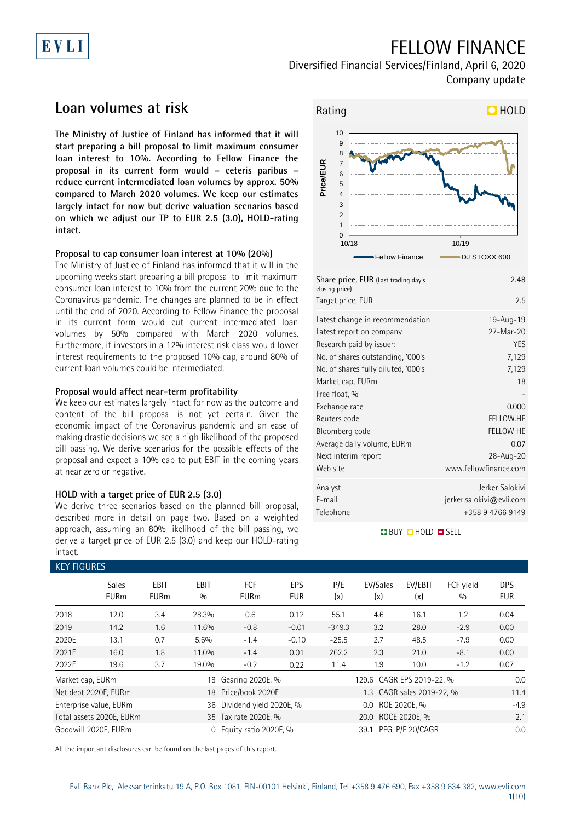## FELLOW FINANCE

Diversified Financial Services/Finland, April 6, 2020 Company update

## **Loan volumes at risk**

EVLI

**The Ministry of Justice of Finland has informed that it will start preparing a bill proposal to limit maximum consumer loan interest to 10%. According to Fellow Finance the proposal in its current form would – ceteris paribus – reduce current intermediated loan volumes by approx. 50% compared to March 2020 volumes. We keep our estimates largely intact for now but derive valuation scenarios based on which we adjust our TP to EUR 2.5 (3.0), HOLD-rating intact.**

### **Proposal to cap consumer loan interest at 10% (20%)**

The Ministry of Justice of Finland has informed that it will in the upcoming weeks start preparing a bill proposal to limit maximum consumer loan interest to 10% from the current 20% due to the Coronavirus pandemic. The changes are planned to be in effect until the end of 2020. According to Fellow Finance the proposal in its current form would cut current intermediated loan volumes by 50% compared with March 2020 volumes. Furthermore, if investors in a 12% interest risk class would lower interest requirements to the proposed 10% cap, around 80% of current loan volumes could be intermediated.

### **Proposal would affect near-term profitability**

We keep our estimates largely intact for now as the outcome and content of the bill proposal is not yet certain. Given the economic impact of the Coronavirus pandemic and an ease of making drastic decisions we see a high likelihood of the proposed bill passing. We derive scenarios for the possible effects of the proposal and expect a 10% cap to put EBIT in the coming years at near zero or negative.

### **HOLD with a target price of EUR 2.5 (3.0)**

We derive three scenarios based on the planned bill proposal, described more in detail on page two. Based on a weighted approach, assuming an 80% likelihood of the bill passing, we derive a target price of EUR 2.5 (3.0) and keep our HOLD-rating intact.



| 2.48                     |
|--------------------------|
| 2.5                      |
| 19-Aug-19                |
| 27-Mar-20                |
| <b>YES</b>               |
| 7,129                    |
| 7,129                    |
| 18                       |
|                          |
| 0.000                    |
| FELLOW.HE                |
| <b>FELLOW HE</b>         |
| 0.07                     |
| 28-Aug-20                |
| www.fellowfinance.com    |
| Jerker Salokivi          |
| jerker.salokivi@evli.com |
| +358947669149            |
|                          |

### **BUY QHOLD SELL**

|  | <b>KEY FIGURES</b> |
|--|--------------------|
|--|--------------------|

|                          |                  |                           |                           |            |                   |                            |                    |                            |                             | NET TIOUNES            |
|--------------------------|------------------|---------------------------|---------------------------|------------|-------------------|----------------------------|--------------------|----------------------------|-----------------------------|------------------------|
| <b>DPS</b><br><b>EUR</b> | FCF vield<br>0/0 | EV/EBIT<br>(x)            | EV/Sales<br>(x)           | P/E<br>(x) | EPS<br><b>EUR</b> | FCF<br><b>EURm</b>         | <b>EBIT</b><br>0/0 | <b>EBIT</b><br><b>EURm</b> | <b>Sales</b><br><b>EURm</b> |                        |
| 0.04                     | 1.2              | 16.1                      | 4.6                       | 55.1       | 0.12              | 0.6                        | 28.3%              | 3.4                        | 12.0                        | 2018                   |
| 0.00                     | $-2.9$           | 28.0                      | 3.2                       | $-349.3$   | $-0.01$           | $-0.8$                     | 11.6%              | 1.6                        | 14.2                        | 2019                   |
| 0.00                     | $-7.9$           | 48.5                      | 2.7                       | $-25.5$    | $-0.10$           | $-1.4$                     | 5.6%               | 0.7                        | 13.1                        | 2020E                  |
| 0.00                     | $-8.1$           | 21.0                      | 2.3                       | 262.2      | 0.01              | $-1.4$                     | 11.0%              | 1.8                        | 16.0                        | 2021E                  |
| 0.07                     | $-1.2$           | 10.0                      | 1.9                       | 11.4       | 0.22              | $-0.2$                     | 19.0%              | 3.7                        | 19.6                        | 2022E                  |
| 0.0                      |                  |                           | 129.6 CAGR EPS 2019-22, % |            |                   | 18 Gearing 2020E, %        |                    |                            |                             | Market cap, EURm       |
| 11.4                     |                  | 1.3 CAGR sales 2019-22, % |                           |            |                   | 18 Price/book 2020E        |                    |                            |                             | Net debt 2020E, EURm   |
| $-4.9$                   |                  | ROE 2020E, %              | $0.0\,$                   |            |                   | 36 Dividend yield 2020E, % |                    |                            |                             | Enterprise value, EURm |
| 2.1                      |                  |                           | 20.0 ROCE 2020E, %        |            |                   | 35 Tax rate 2020E, %       |                    |                            | Total assets 2020E, EURm    |                        |
| 0.0                      |                  |                           | 39.1 PEG, P/E 20/CAGR     |            |                   | Equity ratio 2020E, %      | $\Omega$           |                            |                             | Goodwill 2020E, EURm   |
|                          |                  |                           |                           |            |                   |                            |                    |                            |                             |                        |

All the important disclosures can be found on the last pages of this report.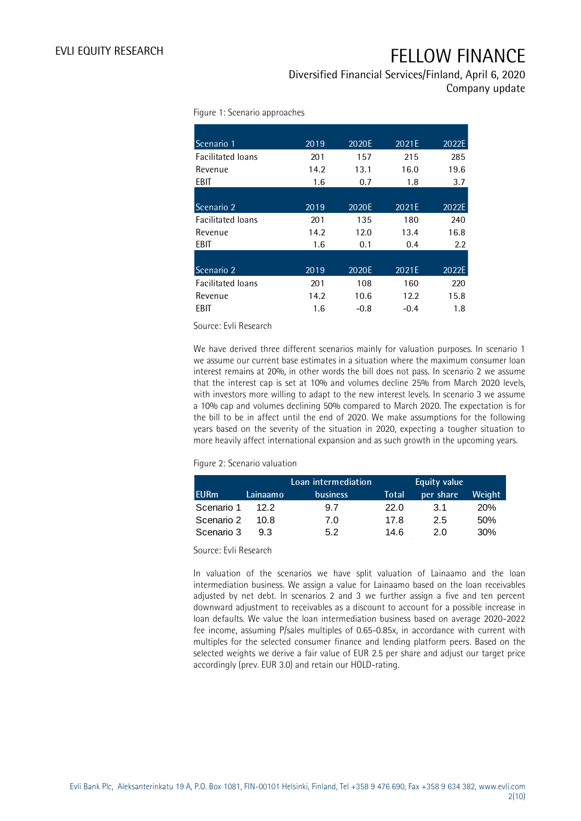## Diversified Financial Services/Finland, April 6, 2020 Company update

Figure 1: Scenario approaches

| Scenario 1               | 2019 | 2020E  | 2021E  | 2022E |
|--------------------------|------|--------|--------|-------|
| <b>Facilitated loans</b> | 201  | 157    | 215    | 285   |
| Revenue                  | 14.2 | 13.1   | 16.0   | 19.6  |
| EBIT                     | 1.6  | 0.7    | 1.8    | 3.7   |
|                          |      |        |        |       |
| Scenario 2               | 2019 | 2020E  | 2021E  | 2022E |
| <b>Facilitated loans</b> | 201  | 135    | 180    | 240   |
| Revenue                  | 14.2 | 12.0   | 13.4   | 16.8  |
| EBIT                     | 1.6  | 0.1    | 0.4    | 2.2   |
|                          |      |        |        |       |
| Scenario 2               | 2019 | 2020E  | 2021E  | 2022E |
| <b>Facilitated loans</b> | 201  | 108    | 160    | 220   |
| Revenue                  | 14.2 | 10.6   | 12.2   | 15.8  |
| EBIT                     | 1.6  | $-0.8$ | $-0.4$ | 1.8   |

Source: Evli Research

We have derived three different scenarios mainly for valuation purposes. In scenario 1 we assume our current base estimates in a situation where the maximum consumer loan interest remains at 20%, in other words the bill does not pass. In scenario 2 we assume that the interest cap is set at 10% and volumes decline 25% from March 2020 levels, with investors more willing to adapt to the new interest levels. In scenario 3 we assume a 10% cap and volumes declining 50% compared to March 2020. The expectation is for the bill to be in affect until the end of 2020. We make assumptions for the following years based on the severity of the situation in 2020, expecting a tougher situation to more heavily affect international expansion and as such growth in the upcoming years.

### Figure 2: Scenario valuation

|             |          | Loan intermediation |       | Equity value |        |
|-------------|----------|---------------------|-------|--------------|--------|
| <b>EURm</b> | Lainaamo | <b>business</b>     | Total | per share    | Weight |
| Scenario 1  | 12.2     | 9.7                 | 22.0  | 3.1          | 20%    |
| Scenario 2  | 10 R     | 7.0                 | 17.8  | 2.5          | 50%    |
| Scenario 3  | 93       | 5.2                 | 14.6  | 2.0          | 30%    |

Source: Evli Research

In valuation of the scenarios we have split valuation of Lainaamo and the loan intermediation business. We assign a value for Lainaamo based on the loan receivables adjusted by net debt. In scenarios 2 and 3 we further assign a five and ten percent downward adjustment to receivables as a discount to account for a possible increase in loan defaults. We value the loan intermediation business based on average 2020-2022 fee income, assuming P/sales multiples of 0.65-0.85x, in accordance with current with multiples for the selected consumer finance and lending platform peers. Based on the selected weights we derive a fair value of EUR 2.5 per share and adjust our target price accordingly (prev. EUR 3.0) and retain our HOLD-rating.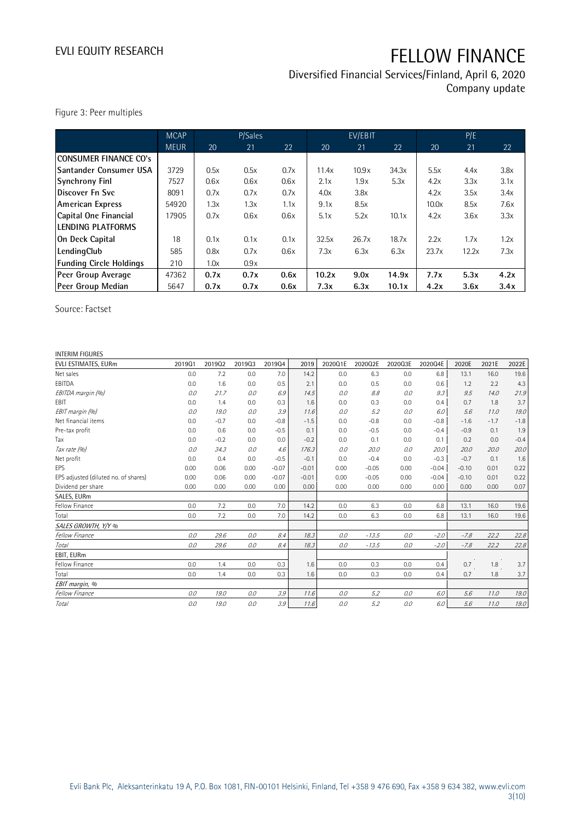Diversified Financial Services/Finland, April 6, 2020 Company update

Figure 3: Peer multiples

|                                | <b>MCAP</b> |      | P/Sales |      |       | EV/EBIT |       |           | P/E   |      |
|--------------------------------|-------------|------|---------|------|-------|---------|-------|-----------|-------|------|
|                                | <b>MEUR</b> | 20   | 21      | 22   | 20    | 21      | 22    | <b>20</b> | 21    | 22   |
| ICONSUMER FINANCE CO's         |             |      |         |      |       |         |       |           |       |      |
| <b>ISantander Consumer USA</b> | 3729        | 0.5x | 0.5x    | 0.7x | 11.4x | 10.9x   | 34.3x | 5.5x      | 4.4x  | 3.8x |
| Synchrony Finl                 | 7527        | 0.6x | 0.6x    | 0.6x | 2.1x  | 1.9x    | 5.3x  | 4.2x      | 3.3x  | 3.1x |
| Discover Fn Svc                | 8091        | 0.7x | 0.7x    | 0.7x | 4.0x  | 3.8x    |       | 4.2x      | 3.5x  | 3.4x |
| American Express               | 54920       | 1.3x | 1.3x    | 1.1x | 9.1x  | 8.5x    |       | 10.0x     | 8.5x  | 7.6x |
| Capital One Financial          | 17905       | 0.7x | 0.6x    | 0.6x | 5.1x  | 5.2x    | 10.1x | 4.2x      | 3.6x  | 3.3x |
| <b>ILENDING PLATFORMS</b>      |             |      |         |      |       |         |       |           |       |      |
| On Deck Capital                | 18          | 0.1x | 0.1x    | 0.1x | 32.5x | 26.7x   | 18.7x | 2.2x      | 1.7x  | 1.2x |
| LendingClub                    | 585         | 0.8x | 0.7x    | 0.6x | 7.3x  | 6.3x    | 6.3x  | 23.7x     | 12.2x | 7.3x |
| <b>Funding Circle Holdings</b> | 210         | 1.0x | 0.9x    |      |       |         |       |           |       |      |
| Peer Group Average             | 47362       | 0.7x | 0.7x    | 0.6x | 10.2x | 9.0x    | 14.9x | 7.7x      | 5.3x  | 4.2x |
| Peer Group Median              | 5647        | 0.7x | 0.7x    | 0.6x | 7.3x  | 6.3x    | 10.1x | 4.2x      | 3.6x  | 3.4x |

Source: Factset

| <b>INTERIM FIGURES</b>               |        |        |        |         |         |         |         |         |         |         |        |        |
|--------------------------------------|--------|--------|--------|---------|---------|---------|---------|---------|---------|---------|--------|--------|
| EVLI ESTIMATES, EURm                 | 201901 | 201902 | 201903 | 201904  | 2019    | 202001E | 2020Q2E | 2020Q3E | 2020Q4E | 2020E   | 2021E  | 2022E  |
| Net sales                            | 0.0    | 7.2    | 0.0    | 7.0     | 14.2    | 0.0     | 6.3     | 0.0     | 6.8     | 13.1    | 16.0   | 19.6   |
| EBITDA                               | 0.0    | 1.6    | 0.0    | 0.5     | 2.1     | 0.0     | 0.5     | 0.0     | 0.6     | 1.2     | 2.2    | 4.3    |
| EBITDA margin (%)                    | 0.0    | 21.7   | 0.0    | 6.9     | 14.5    | 0.0     | 8.8     | 0.0     | 9.3     | 9.5     | 14.0   | 21.9   |
| <b>FBIT</b>                          | 0.0    | 1.4    | 0.0    | 0.3     | 1.6     | 0.0     | 0.3     | 0.0     | 0.4     | 0.7     | 1.8    | 3.7    |
| EBIT margin (%)                      | 0.0    | 19.0   | 0.0    | 3.9     | 11.6    | 0.0     | 5.2     | 0.0     | 6.0     | 5.6     | 11.0   | 19.0   |
| Net financial items                  | 0.0    | $-0.7$ | 0.0    | $-0.8$  | $-1.5$  | 0.0     | $-0.8$  | 0.0     | $-0.8$  | $-1.6$  | $-1.7$ | $-1.8$ |
| Pre-tax profit                       | 0.0    | 0.6    | 0.0    | $-0.5$  | 0.1     | 0.0     | $-0.5$  | 0.0     | $-0.4$  | $-0.9$  | 0.1    | 1.9    |
| Tax                                  | 0.0    | $-0.2$ | 0.0    | 0.0     | $-0.2$  | 0.0     | 0.1     | 0.0     | 0.1     | 0.2     | 0.0    | $-0.4$ |
| Tax rate (%)                         | 0.0    | 34.3   | 0.0    | 4.6     | 176.3   | 0.0     | 20.0    | 0.0     | 20.0    | 20.0    | 20.0   | 20.0   |
| Net profit                           | 0.0    | 0.4    | 0.0    | $-0.5$  | $-0.1$  | 0.0     | $-0.4$  | 0.0     | $-0.3$  | $-0.7$  | 0.1    | 1.6    |
| EPS                                  | 0.00   | 0.06   | 0.00   | $-0.07$ | $-0.01$ | 0.00    | $-0.05$ | 0.00    | $-0.04$ | $-0.10$ | 0.01   | 0.22   |
| EPS adjusted (diluted no. of shares) | 0.00   | 0.06   | 0.00   | $-0.07$ | $-0.01$ | 0.00    | $-0.05$ | 0.00    | $-0.04$ | $-0.10$ | 0.01   | 0.22   |
| Dividend per share                   | 0.00   | 0.00   | 0.00   | 0.00    | 0.00    | 0.00    | 0.00    | 0.00    | 0.00    | 0.00    | 0.00   | 0.07   |
| SALES, EURm                          |        |        |        |         |         |         |         |         |         |         |        |        |
| Fellow Finance                       | 0.0    | 7.2    | 0.0    | 7.0     | 14.2    | 0.0     | 6.3     | 0.0     | 6.8     | 13.1    | 16.0   | 19.6   |
| Total                                | 0.0    | 7.2    | 0.0    | 7.0     | 14.2    | 0.0     | 6.3     | 0.0     | 6.8     | 13.1    | 16.0   | 19.6   |
| SALES GROWTH, Y/Y %                  |        |        |        |         |         |         |         |         |         |         |        |        |
| <b>Fellow Finance</b>                | 0.0    | 29.6   | 0.0    | 8.4     | 18.3    | 0.0     | $-13.5$ | 0.0     | $-2.0$  | $-7.8$  | 22.2   | 22.8   |
| Total                                | 0.0    | 29.6   | 0.0    | 8.4     | 18.3    | 0.0     | $-13.5$ | 0.0     | $-2.0$  | $-7.8$  | 22.2   | 22.8   |
| EBIT, EURm                           |        |        |        |         |         |         |         |         |         |         |        |        |
| Fellow Finance                       | 0.0    | 1.4    | 0.0    | 0.3     | 1.6     | 0.0     | 0.3     | 0.0     | 0.4     | 0.7     | 1.8    | 3.7    |
| Total                                | 0.0    | 1.4    | 0.0    | 0.3     | 1.6     | 0.0     | 0.3     | 0.0     | 0.4     | 0.7     | 1.8    | 3.7    |
| EBIT margin, %                       |        |        |        |         |         |         |         |         |         |         |        |        |
| Fellow Finance                       | 0.0    | 19.0   | 0.0    | 3.9     | 11.6    | 0.0     | 5.2     | 0.0     | 6.0     | 5.6     | 11.0   | 19.0   |
| Total                                | 0.0    | 19.0   | 0.0    | 3.9     | 11.6    | 0.0     | 5.2     | 0.0     | 6.0     | 5.6     | 11.0   | 19.0   |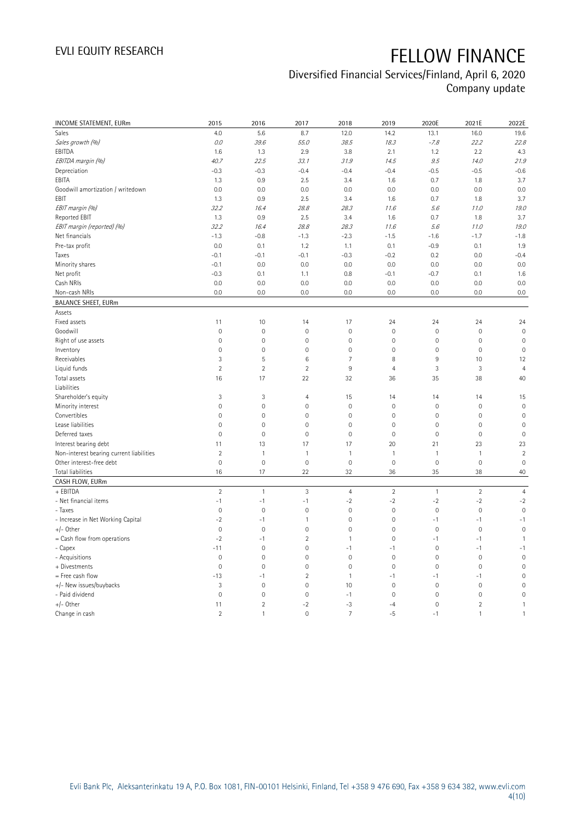## Diversified Financial Services/Finland, April 6, 2020 Company update

| INCOME STATEMENT, EURm                   | 2015           | 2016           | 2017            | 2018           | 2019           | 2020E               | 2021E          | 2022E          |
|------------------------------------------|----------------|----------------|-----------------|----------------|----------------|---------------------|----------------|----------------|
| Sales                                    | 4.0            | 5.6            | 8.7             | 12.0           | 14.2           | 13.1                | 16.0           | 19.6           |
| Sales growth (%)                         | 0.0            | 39.6           | 55.0            | 38.5           | 18.3           | $-7.8$              | 22.2           | 22.8           |
| EBITDA                                   | 1.6            | 1.3            | 2.9             | 3.8            | 2.1            | 1.2                 | 2.2            | 4.3            |
| EBITDA margin (%)                        | 40.7           | 22.5           | 33.1            | 31.9           | 14.5           | 9.5                 | 14.0           | 21.9           |
| Depreciation                             | $-0.3$         | $-0.3$         | $-0.4$          | $-0.4$         | $-0.4$         | $-0.5$              | $-0.5$         | $-0.6$         |
| EBITA                                    | 1.3            | 0.9            | 2.5             | 3.4            | 1.6            | 0.7                 | 1.8            | 3.7            |
| Goodwill amortization / writedown        | 0.0            | 0.0            | 0.0             | 0.0            | 0.0            | 0.0                 | 0.0            | 0.0            |
| EBIT                                     | 1.3            | 0.9            | 2.5             | 3.4            | 1.6            | 0.7                 | 1.8            | 3.7            |
| EBIT margin (%)                          | 32.2           | 16.4           | 28.8            | 28.3           | 11.6           | 5.6                 | 11.0           | 19.0           |
| Reported EBIT                            | 1.3            | 0.9            | 2.5             | 3.4            | 1.6            | 0.7                 | 1.8            | 3.7            |
| EBIT margin (reported) (%)               | 32.2           | 16.4           | 28.8            | 28.3           | 11.6           | 5.6                 | 11.0           | 19.0           |
| Net financials                           | $-1.3$         | $-0.8$         | $-1.3$          | $-2.3$         | $-1.5$         | $-1.6$              | $-1.7$         | $-1.8$         |
| Pre-tax profit                           | 0.0            | 0.1            | 1.2             | 1.1            | 0.1            | $-0.9$              | 0.1            | 1.9            |
| Taxes                                    | $-0.1$         | $-0.1$         | $-0.1$          | $-0.3$         | $-0.2$         | 0.2                 | 0.0            | $-0.4$         |
| Minority shares                          | $-0.1$         | 0.0            | 0.0             | 0.0            | 0.0            | 0.0                 | 0.0            | 0.0            |
| Net profit                               | $-0.3$         | 0.1            | 1.1             | 0.8            | $-0.1$         | $-0.7$              | 0.1            | 1.6            |
| Cash NRIs                                | 0.0            | 0.0            | 0.0             | 0.0            | 0.0            | 0.0                 | 0.0            | 0.0            |
| Non-cash NRIs                            | 0.0            | 0.0            | 0.0             | 0.0            | 0.0            | 0.0                 | 0.0            | 0.0            |
| <b>BALANCE SHEET, EURm</b>               |                |                |                 |                |                |                     |                |                |
| Assets                                   |                |                |                 |                |                |                     |                |                |
| Fixed assets                             | 11             | 10             | 14              | 17             | 24             | 24                  | 24             | 24             |
| Goodwill                                 | $\mathbf 0$    | $\mathbf 0$    | $\mathbf 0$     | $\overline{0}$ | $\mathbf 0$    | $\mathsf{O}\xspace$ | $\mathbf 0$    | $\mathbf 0$    |
| Right of use assets                      | $\mathbf 0$    | $\mathbf 0$    | $\mathbf 0$     | $\circ$        | $\mathbf 0$    | $\mathsf{O}\xspace$ | $\mathbf{0}$   | $\overline{0}$ |
| Inventory                                | $\mathbf 0$    | $\mathbf 0$    | $\mathbf 0$     | $\mathbf 0$    | $\mathbf 0$    | $\mathsf{O}\xspace$ | $\mathbf 0$    | $\mathbf 0$    |
| Receivables                              | 3              | 5              | $6\phantom{1}6$ | $\overline{7}$ | 8              | 9                   | 10             | 12             |
| Liquid funds                             | $\overline{2}$ | $\overline{2}$ | $\overline{2}$  | $9\,$          | $\overline{4}$ | 3                   | 3              | $\overline{4}$ |
| Total assets                             | 16             | 17             | 22              | 32             | 36             | 35                  | 38             | 40             |
| Liabilities                              |                |                |                 |                |                |                     |                |                |
| Shareholder's equity                     | 3              | 3              | $\overline{4}$  | 15             | 14             | 14                  | 14             | 15             |
| Minority interest                        | $\mathbf 0$    | $\mathbf 0$    | $\mathbf 0$     | $\mathbf 0$    | $\mathbf 0$    | $\mathsf{O}\xspace$ | $\mathbf 0$    | $\mathbf 0$    |
| Convertibles                             | $\mathbf 0$    | $\mathbf 0$    | $\mathbf 0$     | $\circ$        | $\mathbf 0$    | $\mathbb O$         | $\mathbf 0$    | $\mathbf 0$    |
| Lease liabilities                        | $\mathbf 0$    | $\overline{0}$ | $\mathbf 0$     | $\overline{0}$ | $\mathbf 0$    | $\mathbf 0$         | $\mathbf 0$    | $\mathbf 0$    |
| Deferred taxes                           | $\mathbf 0$    | $\mathbf 0$    | $\mathbf 0$     | $\circ$        | $\mathbf 0$    | $\mathbf 0$         | $\mathbf 0$    | $\mathbf 0$    |
| Interest bearing debt                    | 11             | 13             | 17              | 17             | 20             | 21                  | 23             | 23             |
| Non-interest bearing current liabilities | $\overline{2}$ | $\mathbf{1}$   | $\overline{1}$  | $\mathbf{1}$   | $\mathbf{1}$   | $\mathbf{1}$        | $\mathbf{1}$   | $\overline{2}$ |
| Other interest-free debt                 | $\mathbf 0$    | $\mathbf 0$    | $\mathbf 0$     | $\circ$        | $\mathbf 0$    | $\mathbb O$         | $\mathbf 0$    | $\mathbf 0$    |
| Total liabilities                        | 16             | 17             | 22              | 32             | 36             | 35                  | 38             | 40             |
| CASH FLOW, EURm                          |                |                |                 |                |                |                     |                |                |
| + EBITDA                                 | $\overline{2}$ | $\mathbf{1}$   | $\mathbf{3}$    | $\overline{4}$ | $\overline{2}$ | $\mathbf{1}$        | $\overline{2}$ | $\overline{4}$ |
| - Net financial items                    | $-1$           | $-1$           | $-1$            | $-2$           | $-2$           | $-2$                | $-2$           | $-2$           |
| - Taxes                                  | $\mathbf{0}$   | $\mathbf 0$    | $\mathbf 0$     | $\mathbf{0}$   | $\overline{0}$ | $\mathbf 0$         | $\mathbf{0}$   | $\overline{0}$ |
| - Increase in Net Working Capital        | $-2$           | $-1$           | $\mathbf{1}$    | $\circ$        | $\mathbf 0$    | $-1$                | $-1$           | $-1$           |
| +/- Other                                | $\mathbf 0$    | $\mathbf 0$    | $\mathbf 0$     | $\mathbf 0$    | $\mathbf 0$    | $\mathsf{O}\xspace$ | $\mathbf 0$    | $\mathbf 0$    |
| = Cash flow from operations              | $-2$           | $-1$           | $\overline{2}$  | 1              | $\mathbf 0$    | -1                  | $-1$           | $\mathbf{1}$   |
| - Capex                                  | $-11$          | $\mathbf 0$    | $\mathbf 0$     | $-1$           | $-1$           | $\mathsf{O}\xspace$ | $-1$           | $-1$           |
| - Acquisitions                           | $\mathbf 0$    | $\mathbf 0$    | $\mathbf 0$     | $\mathbf 0$    | $\mathbf 0$    | $\mathsf{O}\xspace$ | $\mathbf 0$    | $\mathbf 0$    |
| + Divestments                            | $\mathbf 0$    | $\mathbf 0$    | $\mathbf 0$     | $\mathbf 0$    | $\mathbf 0$    | $\mathsf{O}\xspace$ | $\mathbf 0$    | $\mathbf 0$    |
| = Free cash flow                         | $-13$          | $-1$           | $\overline{2}$  | $\mathbf{1}$   | $-1$           | -1                  | $-1$           | $\mathbf 0$    |
| +/- New issues/buybacks                  | 3              | $\mathbf 0$    | $\mathbf 0$     | 10             | $\mathbf 0$    | $\mathsf{O}\xspace$ | $\mathbf 0$    | $\mathbf 0$    |
| - Paid dividend                          | $\mathbf 0$    | $\overline{0}$ | $\mathbf 0$     | $-1$           | $\mathbf 0$    | $\mathsf{O}\xspace$ | $\mathbf 0$    | $\mathbf 0$    |
| +/- Other                                | 11             | $\overline{2}$ | $-2$            | $-3$           | $-4$           | $\mathbf 0$         | $\overline{2}$ | $\mathbf{1}$   |
| Change in cash                           | $\overline{2}$ | $\mathbf{1}$   | $\Omega$        | $\overline{7}$ | $-5$           | $-1$                | $\mathbf{1}$   | $\mathbf{1}$   |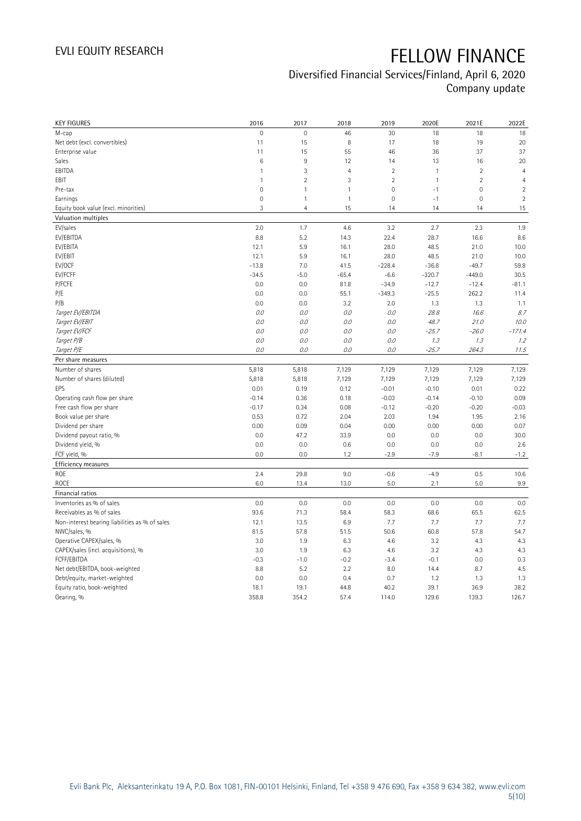## Diversified Financial Services/Finland, April 6, 2020 Company update

| <b>KEY FIGURES</b>                             | 2016           | 2017           | 2018           | 2019           | 2020E        | 2021E          | 2022E          |
|------------------------------------------------|----------------|----------------|----------------|----------------|--------------|----------------|----------------|
| M-cap                                          | $\overline{0}$ | $\mathbf 0$    | 46             | 30             | 18           | 18             | 18             |
| Net debt (excl. convertibles)                  | 11             | 15             | 8              | 17             | 18           | 19             | 20             |
| Enterprise value                               | 11             | 15             | 55             | 46             | 36           | 37             | 37             |
| Sales                                          | 6              | $9\,$          | 12             | 14             | 13           | 16             | 20             |
| EBITDA                                         | $\mathbf{1}$   | $\mathbf{3}$   | $\overline{4}$ | $\overline{2}$ | $\mathbf{1}$ | $\overline{2}$ | $\overline{4}$ |
| EBIT                                           | $\mathbf{1}$   | $\overline{2}$ | 3              | $\overline{2}$ | $\mathbf{1}$ | $\overline{2}$ | $\overline{4}$ |
| Pre-tax                                        | $\mathbf 0$    | $\mathbf{1}$   | $\mathbf{1}$   | 0              | $-1$         | 0              | $\overline{2}$ |
| Earnings                                       | $\overline{0}$ | $\mathbf{1}$   | $\mathbf{1}$   | 0              | $-1$         | 0              | $\overline{2}$ |
| Equity book value (excl. minorities)           | 3              | $\overline{4}$ | 15             | 14             | 14           | 14             | 15             |
| Valuation multiples                            |                |                |                |                |              |                |                |
| EV/sales                                       | 2.0            | 1.7            | 4.6            | 3.2            | 2.7          | 2.3            | 1.9            |
| EV/EBITDA                                      | 8.8            | 5.2            | 14.3           | 22.4           | 28.7         | 16.6           | 8.6            |
| EV/EBITA                                       | 12.1           | 5.9            | 16.1           | 28.0           | 48.5         | 21.0           | 10.0           |
| EV/EBIT                                        | 12.1           | 5.9            | 16.1           | 28.0           | 48.5         | 21.0           | 10.0           |
| EV/OCF                                         | $-13.8$        | 7.0            | 41.5           | $-228.4$       | $-36.8$      | $-49.7$        | 59.8           |
| EV/FCFF                                        | $-34.5$        | $-5.0$         | $-65.4$        | $-6.6$         | $-320.7$     | $-449.0$       | 30.5           |
| P/FCFE                                         | 0.0            | 0.0            | 81.8           | $-34.9$        | $-12.7$      | $-12.4$        | $-81.1$        |
| P/E                                            | 0.0            | 0.0            | 55.1           | $-349.3$       | $-25.5$      | 262.2          | 11.4           |
| P/B                                            | 0.0            | 0.0            | 3.2            | 2.0            | 1.3          | 1.3            | 1.1            |
| Target EV/EBITDA                               | $0.0$          | 0.0            | 0.0            | $O.O$          | 28.8         | 16.6           | 8.7            |
| Target EV/EBIT                                 | O.O            | 0.0            | 0.0            | 0.0            | 48.7         | 21.0           | 10.0           |
| Target EV/FCF                                  | 0.0            | 0.0            | 0.0            | 0.0            | $-25.7$      | $-26.0$        | -171.4         |
| Target P/B                                     | $0.0\,$        | O.O            | 0.0            | $O.O$          | 1.3          | 1.3            | 1.2            |
| Target P/E                                     | O.O            | 0.0            | 0.0            | $O.O$          | $-25.7$      | 264.3          | 11.5           |
| Per share measures                             |                |                |                |                |              |                |                |
| Number of shares                               | 5,818          | 5,818          | 7,129          | 7,129          | 7,129        | 7,129          | 7,129          |
| Number of shares (diluted)                     | 5,818          | 5,818          | 7,129          | 7,129          | 7,129        | 7,129          | 7,129          |
| EPS                                            | 0.01           | 0.19           | 0.12           | $-0.01$        | $-0.10$      | 0.01           | 0.22           |
| Operating cash flow per share                  | $-0.14$        | 0.36           | 0.18           | $-0.03$        | $-0.14$      | $-0.10$        | 0.09           |
| Free cash flow per share                       | $-0.17$        | 0.34           | 0.08           | $-0.12$        | $-0.20$      | $-0.20$        | $-0.03$        |
| Book value per share                           | 0.53           | 0.72           | 2.04           | 2.03           | 1.94         | 1.95           | 2.16           |
| Dividend per share                             | 0.00           | 0.09           | 0.04           | 0.00           | 0.00         | 0.00           | 0.07           |
| Dividend payout ratio, %                       | 0.0            | 47.2           | 33.9           | 0.0            | 0.0          | 0.0            | 30.0           |
| Dividend yield, %                              | 0.0            | 0.0            | 0.6            | 0.0            | 0.0          | 0.0            | 2.6            |
| FCF yield, %                                   | 0.0            | 0.0            | 1.2            | $-2.9$         | $-7.9$       | -8.1           | $-1.2$         |
| Efficiency measures                            |                |                |                |                |              |                |                |
| <b>ROE</b>                                     | 2.4            | 29.8           | 9.0            | $-0.6$         | $-4.9$       | 0.5            | 10.6           |
| <b>ROCE</b>                                    | 6.0            | 13.4           | 13.0           | 5.0            | 2.1          | 5.0            | 9.9            |
| Financial ratios                               |                |                |                |                |              |                |                |
| Inventories as % of sales                      | 0.0            | 0.0            | 0.0            | 0.0            | 0.0          | 0.0            | 0.0            |
| Receivables as % of sales                      | 93.6           | 71.3           | 58.4           | 58.3           | 68.6         | 65.5           | 62.5           |
| Non-interest bearing liabilities as % of sales | 12.1           | 13.5           | 6.9            | 7.7            | 7.7          | 7.7            | 7.7            |
| NWC/sales, %                                   | 81.5           | 57.8           | 51.5           | 50.6           | 60.8         | 57.8           | 54.7           |
| Operative CAPEX/sales, %                       | 3.0            | 1.9            | 6.3            | 4.6            | 3.2          | 4.3            | 4.3            |
| CAPEX/sales (incl. acquisitions), %            | 3.0            | 1.9            | 6.3            | 4.6            | 3.2          | 4.3            | 4.3            |
| FCFF/EBITDA                                    | $-0.3$         | $-1.0$         | $-0.2$         | $-3.4$         | $-0.1$       | 0.0            | 0.3            |
| Net debt/EBITDA, book-weighted                 | 8.8            | 5.2            | 2.2            | 8.0            | 14.4         | 8.7            | 4.5            |
| Debt/equity, market-weighted                   | 0.0            | 0.0            | 0.4            | 0.7            | 1.2          | 1.3            | 1.3            |
| Equity ratio, book-weighted                    | 18.1           | 19.1           | 44.8           | 40.2           | 39.1         | 36.9           | 38.2           |
|                                                | 358.8          | 354.2          |                | 114.0          | 129.6        | 139.3          | 126.7          |
| Gearing, %                                     |                |                | 57.4           |                |              |                |                |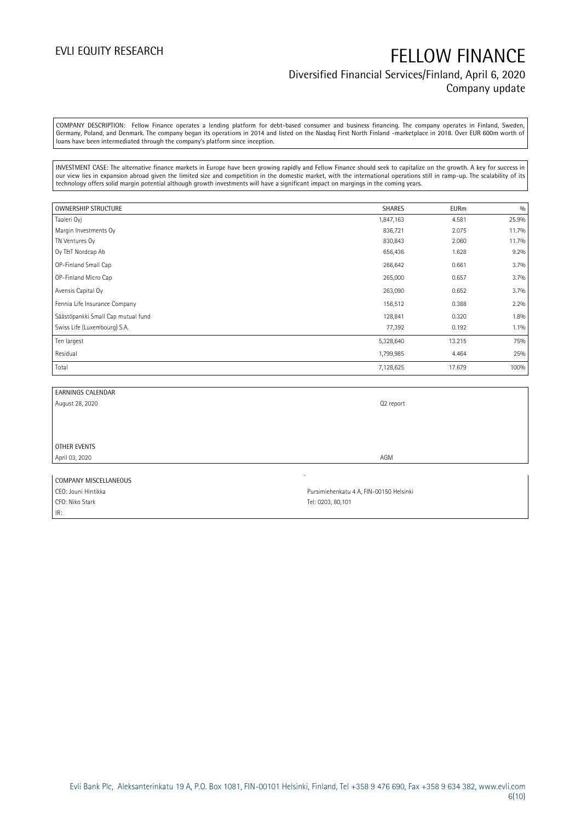## Diversified Financial Services/Finland, April 6, 2020 Company update

COMPANY DESCRIPTION: Fellow Finance operates a lending platform for debt-based consumer and business financing. The company operates in Finland, Sweden, Germany, Poland, and Denmark. The company began its operations in 2014 and listed on the Nasdaq First North Finland -marketplace in 2018. Over EUR 600m worth of loans have been intermediated through the company's platform since inception.

INVESTMENT CASE: The alternative finance markets in Europe have been growing rapidly and Fellow Finance should seek to capitalize on the growth. A key for success in our view lies in expansion abroad given the limited size and competition in the domestic market, with the international operations still in ramp-up. The scalability of its technology offers solid margin potential although growth investments will have a significant impact on margings in the coming years.

| <b>OWNERSHIP STRUCTURE</b>         | <b>SHARES</b> | <b>EURm</b> | 0/0   |
|------------------------------------|---------------|-------------|-------|
| Taaleri Oyj                        | 1,847,163     | 4.581       | 25.9% |
| Margin Investments Oy              | 836,721       | 2.075       | 11.7% |
| TN Ventures Oy                     | 830,843       | 2.060       | 11.7% |
| Oy T&T Nordcap Ab                  | 656,436       | 1.628       | 9.2%  |
| OP-Finland Small Cap               | 266,642       | 0.661       | 3.7%  |
| OP-Finland Micro Cap               | 265,000       | 0.657       | 3.7%  |
| Avensis Capital Ov                 | 263,090       | 0.652       | 3.7%  |
| Fennia Life Insurance Company      | 156,512       | 0.388       | 2.2%  |
| Säästöpankki Small Cap mutual fund | 128,841       | 0.320       | 1.8%  |
| Swiss Life (Luxembourg) S.A.       | 77,392        | 0.192       | 1.1%  |
| Ten largest                        | 5,328,640     | 13.215      | 75%   |
| Residual                           | 1,799,985     | 4.464       | 25%   |
| Total                              | 7,128,625     | 17.679      | 100%  |

| <b>EARNINGS CALENDAR</b> |           |
|--------------------------|-----------|
| August 28, 2020          | Q2 report |
|                          |           |
|                          |           |
|                          |           |
| OTHER EVENTS             |           |
| April 03, 2020           | AGM       |
|                          |           |

| COMPANY MISCELLANEOUS |                                         |
|-----------------------|-----------------------------------------|
| CEO: Jouni Hintikka   | Pursimiehenkatu 4 A, FIN-00150 Helsinki |
| CFO: Niko Stark       | Tel: 0203, 80, 101                      |
| IR:                   |                                         |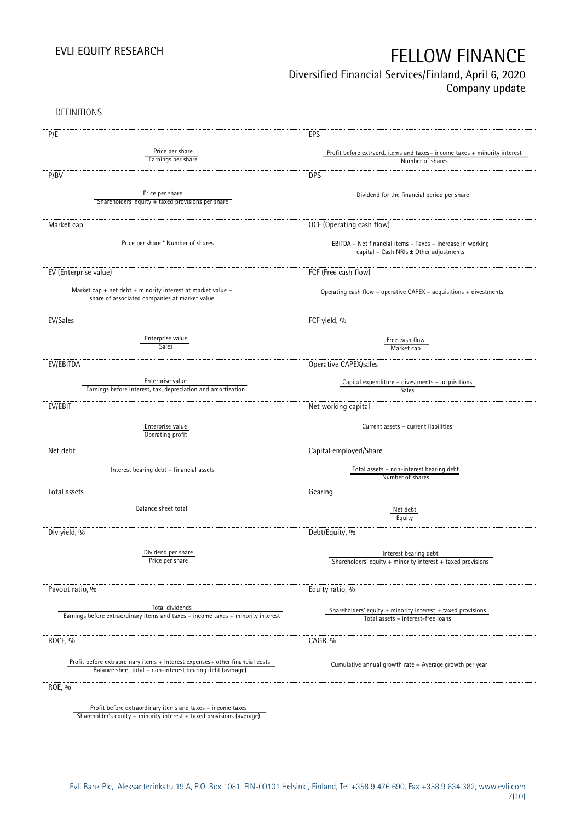## Diversified Financial Services/Finland, April 6, 2020 Company update

DEFINITIONS

| P/E                                                                              | EPS                                                                                          |  |  |
|----------------------------------------------------------------------------------|----------------------------------------------------------------------------------------------|--|--|
|                                                                                  |                                                                                              |  |  |
| Price per share<br>Earnings per share                                            | Profit before extraord. items and taxes-income taxes + minority interest<br>Number of shares |  |  |
|                                                                                  |                                                                                              |  |  |
| P/BV                                                                             | <b>DPS</b>                                                                                   |  |  |
|                                                                                  |                                                                                              |  |  |
| Price per share                                                                  | Dividend for the financial period per share                                                  |  |  |
| Shareholders' equity + taxed provisions per share                                |                                                                                              |  |  |
|                                                                                  |                                                                                              |  |  |
| Market cap                                                                       | OCF (Operating cash flow)                                                                    |  |  |
|                                                                                  | EBITDA - Net financial items - Taxes - Increase in working                                   |  |  |
| Price per share * Number of shares                                               |                                                                                              |  |  |
|                                                                                  | capital - Cash NRIs ± Other adjustments                                                      |  |  |
|                                                                                  |                                                                                              |  |  |
| EV (Enterprise value)                                                            | FCF (Free cash flow)                                                                         |  |  |
| Market cap + net debt + minority interest at market value -                      |                                                                                              |  |  |
| share of associated companies at market value                                    | Operating cash flow - operative CAPEX - acquisitions + divestments                           |  |  |
|                                                                                  |                                                                                              |  |  |
|                                                                                  |                                                                                              |  |  |
| EV/Sales                                                                         | FCF yield, %                                                                                 |  |  |
| Enterprise value                                                                 | Free cash flow                                                                               |  |  |
| Sales                                                                            | Market cap                                                                                   |  |  |
|                                                                                  |                                                                                              |  |  |
| EV/EBITDA                                                                        | Operative CAPEX/sales                                                                        |  |  |
|                                                                                  |                                                                                              |  |  |
| Enterprise value<br>Earnings before interest, tax, depreciation and amortization | Capital expenditure - divestments - acquisitions<br>Sales                                    |  |  |
|                                                                                  |                                                                                              |  |  |
| EV/EBIT                                                                          | Net working capital                                                                          |  |  |
|                                                                                  |                                                                                              |  |  |
| Enterprise value                                                                 | Current assets - current liabilities                                                         |  |  |
| Operating profit                                                                 |                                                                                              |  |  |
| Net debt                                                                         | Capital employed/Share                                                                       |  |  |
|                                                                                  |                                                                                              |  |  |
| Interest bearing debt - financial assets                                         | Total assets - non-interest bearing debt                                                     |  |  |
|                                                                                  | Number of shares                                                                             |  |  |
| Total assets                                                                     |                                                                                              |  |  |
|                                                                                  | Gearing                                                                                      |  |  |
| Balance sheet total                                                              | Net debt                                                                                     |  |  |
|                                                                                  | Equity                                                                                       |  |  |
|                                                                                  |                                                                                              |  |  |
| Div yield, %                                                                     | Debt/Equity, %                                                                               |  |  |
|                                                                                  |                                                                                              |  |  |
| Dividend per share<br>Price per share                                            | Interest bearing debt<br>Shareholders' equity + minority interest + taxed provisions         |  |  |
|                                                                                  |                                                                                              |  |  |
|                                                                                  |                                                                                              |  |  |
| Payout ratio, %                                                                  | Equity ratio, %                                                                              |  |  |
|                                                                                  |                                                                                              |  |  |
| Total dividends                                                                  | Shareholders' equity $+$ minority interest $+$ taxed provisions                              |  |  |
| Earnings before extraordinary items and taxes - income taxes + minority interest | Total assets - interest-free loans                                                           |  |  |
|                                                                                  |                                                                                              |  |  |
| ROCE, %                                                                          | CAGR, %                                                                                      |  |  |
|                                                                                  |                                                                                              |  |  |
| Profit before extraordinary items + interest expenses+ other financial costs     |                                                                                              |  |  |
| Balance sheet total - non-interest bearing debt (average)                        | Cumulative annual growth rate = Average growth per year                                      |  |  |
|                                                                                  |                                                                                              |  |  |
| ROE, %                                                                           |                                                                                              |  |  |
|                                                                                  |                                                                                              |  |  |
| Profit before extraordinary items and taxes - income taxes                       |                                                                                              |  |  |
| Shareholder's equity + minority interest + taxed provisions (average)            |                                                                                              |  |  |
|                                                                                  |                                                                                              |  |  |
|                                                                                  |                                                                                              |  |  |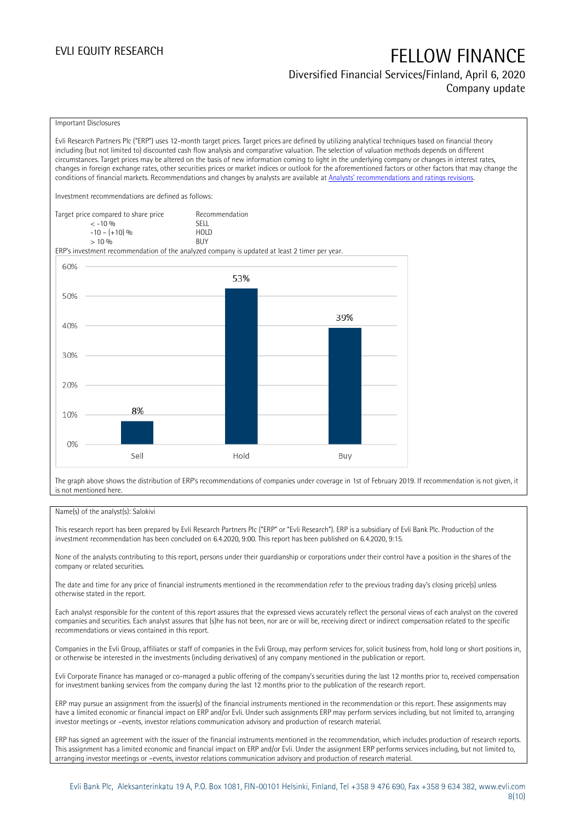### Diversified Financial Services/Finland, April 6, 2020 Company update

### Important Disclosures

Evli Research Partners Plc ("ERP") uses 12-month target prices. Target prices are defined by utilizing analytical techniques based on financial theory including (but not limited to) discounted cash flow analysis and comparative valuation. The selection of valuation methods depends on different circumstances. Target prices may be altered on the basis of new information coming to light in the underlying company or changes in interest rates, changes in foreign exchange rates, other securities prices or market indices or outlook for the aforementioned factors or other factors that may change the conditions of financial markets. Recommendations and changes by analysts are available at [Analysts' recommendations and ratings revisions](https://research.evli.com/JasperAllModels.action?authParam=key;461&authParam=x;G3rNagWrtf7K&authType=3). Investment recommendations are defined as follows: Target price compared to share price Recommendation<br>CELL CALLO 06 < -10 % SELL  $-10 - (+10) \%$  HOL<br>  $> 10 \%$  $> 10\%$ ERP's investment recommendation of the analyzed company is updated at least 2 timer per year. 60% 53% 50% 39% 40% 30% 20% 8% 10%  $0%$ Hold Sell Buy

The graph above shows the distribution of ERP's recommendations of companies under coverage in 1st of February 2019. If recommendation is not given, it is not mentioned here.

### Name(s) of the analyst(s): Salokivi

This research report has been prepared by Evli Research Partners Plc ("ERP" or "Evli Research"). ERP is a subsidiary of Evli Bank Plc. Production of the investment recommendation has been concluded on 6.4.2020, 9:00. This report has been published on 6.4.2020, 9:15.

None of the analysts contributing to this report, persons under their guardianship or corporations under their control have a position in the shares of the company or related securities.

The date and time for any price of financial instruments mentioned in the recommendation refer to the previous trading day's closing price(s) unless otherwise stated in the report.

Each analyst responsible for the content of this report assures that the expressed views accurately reflect the personal views of each analyst on the covered companies and securities. Each analyst assures that (s)he has not been, nor are or will be, receiving direct or indirect compensation related to the specific recommendations or views contained in this report.

Companies in the Evli Group, affiliates or staff of companies in the Evli Group, may perform services for, solicit business from, hold long or short positions in, or otherwise be interested in the investments (including derivatives) of any company mentioned in the publication or report.

Evli Corporate Finance has managed or co-managed a public offering of the company's securities during the last 12 months prior to, received compensation for investment banking services from the company during the last 12 months prior to the publication of the research report.

ERP may pursue an assignment from the issuer(s) of the financial instruments mentioned in the recommendation or this report. These assignments may have a limited economic or financial impact on ERP and/or Evli. Under such assignments ERP may perform services including, but not limited to, arranging investor meetings or –events, investor relations communication advisory and production of research material.

ERP has signed an agreement with the issuer of the financial instruments mentioned in the recommendation, which includes production of research reports. This assignment has a limited economic and financial impact on ERP and/or Evli. Under the assignment ERP performs services including, but not limited to, arranging investor meetings or –events, investor relations communication advisory and production of research material.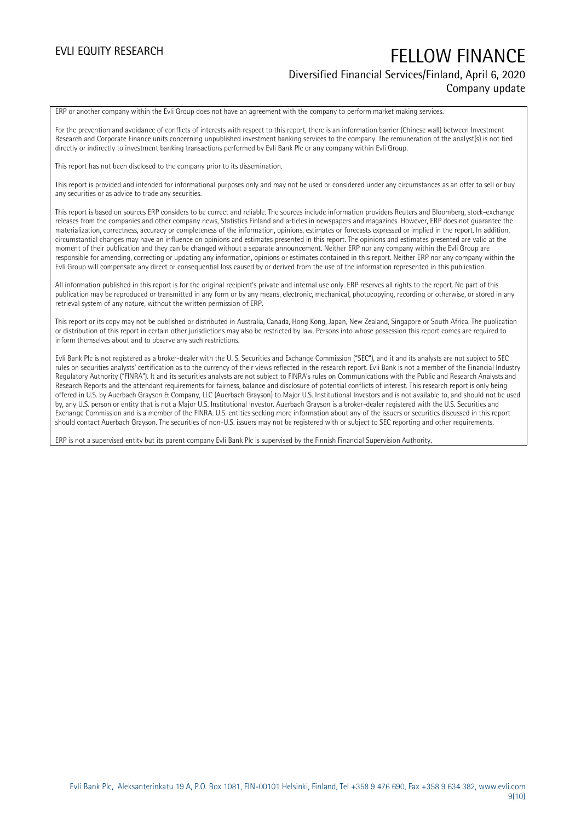## EVLI EQUITY RESEARCH FELLOW FINANCE Diversified Financial Services/Finland, April 6, 2020 Company update

ERP or another company within the Evli Group does not have an agreement with the company to perform market making services.

For the prevention and avoidance of conflicts of interests with respect to this report, there is an information barrier (Chinese wall) between Investment Research and Corporate Finance units concerning unpublished investment banking services to the company. The remuneration of the analyst(s) is not tied directly or indirectly to investment banking transactions performed by Evli Bank Plc or any company within Evli Group.

This report has not been disclosed to the company prior to its dissemination.

This report is provided and intended for informational purposes only and may not be used or considered under any circumstances as an offer to sell or buy any securities or as advice to trade any securities.

This report is based on sources ERP considers to be correct and reliable. The sources include information providers Reuters and Bloomberg, stock-exchange releases from the companies and other company news, Statistics Finland and articles in newspapers and magazines. However, ERP does not guarantee the materialization, correctness, accuracy or completeness of the information, opinions, estimates or forecasts expressed or implied in the report. In addition, circumstantial changes may have an influence on opinions and estimates presented in this report. The opinions and estimates presented are valid at the moment of their publication and they can be changed without a separate announcement. Neither ERP nor any company within the Evli Group are responsible for amending, correcting or updating any information, opinions or estimates contained in this report. Neither ERP nor any company within the Evli Group will compensate any direct or consequential loss caused by or derived from the use of the information represented in this publication.

All information published in this report is for the original recipient's private and internal use only. ERP reserves all rights to the report. No part of this publication may be reproduced or transmitted in any form or by any means, electronic, mechanical, photocopying, recording or otherwise, or stored in any retrieval system of any nature, without the written permission of ERP.

This report or its copy may not be published or distributed in Australia, Canada, Hong Kong, Japan, New Zealand, Singapore or South Africa. The publication or distribution of this report in certain other jurisdictions may also be restricted by law. Persons into whose possession this report comes are required to inform themselves about and to observe any such restrictions.

Evli Bank Plc is not registered as a broker-dealer with the U. S. Securities and Exchange Commission ("SEC"), and it and its analysts are not subject to SEC rules on securities analysts' certification as to the currency of their views reflected in the research report. Evli Bank is not a member of the Financial Industry Regulatory Authority ("FINRA"). It and its securities analysts are not subject to FINRA's rules on Communications with the Public and Research Analysts and Research Reports and the attendant requirements for fairness, balance and disclosure of potential conflicts of interest. This research report is only being offered in U.S. by Auerbach Grayson & Company, LLC (Auerbach Grayson) to Major U.S. Institutional Investors and is not available to, and should not be used by, any U.S. person or entity that is not a Major U.S. Institutional Investor. Auerbach Grayson is a broker-dealer registered with the U.S. Securities and Exchange Commission and is a member of the FINRA. U.S. entities seeking more information about any of the issuers or securities discussed in this report should contact Auerbach Grayson. The securities of non-U.S. issuers may not be registered with or subject to SEC reporting and other requirements.

ERP is not a supervised entity but its parent company Evli Bank Plc is supervised by the Finnish Financial Supervision Authority.